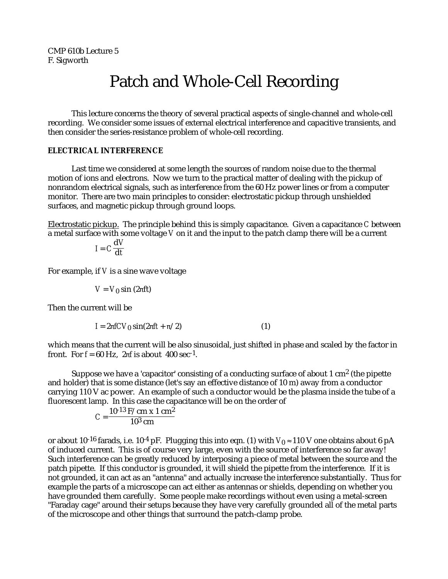# Patch and Whole-Cell Recording

This lecture concerns the theory of several practical aspects of single-channel and whole-cell recording. We consider some issues of external electrical interference and capacitive transients, and then consider the series-resistance problem of whole-cell recording.

## **ELECTRICAL INTERFERENCE**

Last time we considered at some length the sources of random noise due to the thermal motion of ions and electrons. Now we turn to the practical matter of dealing with the pickup of nonrandom electrical signals, such as interference from the 60 Hz power lines or from a computer monitor. There are two main principles to consider: electrostatic pickup through unshielded surfaces, and magnetic pickup through ground loops.

Electrostatic pickup. The principle behind this is simply capacitance. Given a capacitance *C* between a metal surface with some voltage *V* on it and the input to the patch clamp there will be a current

$$
I = C \frac{\mathrm{d}V}{\mathrm{d}t}
$$

For example, if *V* is a sine wave voltage

$$
V = V_0 \sin(2 \text{ ft})
$$

Then the current will be

$$
I = 2 fCV_0 \sin(2 ft + /2)
$$
 (1)

which means that the current will be also sinusoidal, just shifted in phase and scaled by the factor in front. For  $f = 60$  Hz, 2 f is about 400 sec<sup>-1</sup>.

Suppose we have a 'capacitor' consisting of a conducting surface of about  $1 \text{ cm}^2$  (the pipette and holder) that is some distance (let's say an effective distance of 10 m) away from a conductor carrying 110 V ac power. An example of such a conductor would be the plasma inside the tube of a fluorescent lamp. In this case the capacitance will be on the order of

$$
C = \frac{10^{-13} \text{ F/cm x 1 cm}^2}{10^3 \text{ cm}}
$$

or about 10<sup>-16</sup> farads, i.e. 10<sup>-4</sup> pF. Plugging this into eqn. (1) with  $V_0$  110 V one obtains about 6 pA of induced current. This is of course very large, even with the source of interference so far away! Such interference can be greatly reduced by interposing a piece of metal between the source and the patch pipette. If this conductor is grounded, it will shield the pipette from the interference. If it is not grounded, it can act as an "antenna" and actually increase the interference substantially. Thus for example the parts of a microscope can act either as antennas or shields, depending on whether you have grounded them carefully. Some people make recordings without even using a metal-screen "Faraday cage" around their setups because they have very carefully grounded all of the metal parts of the microscope and other things that surround the patch-clamp probe.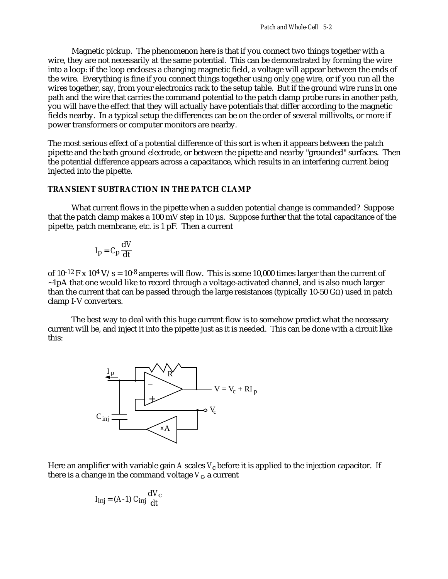Magnetic pickup. The phenomenon here is that if you connect two things together with a wire, they are not necessarily at the same potential. This can be demonstrated by forming the wire into a loop: if the loop encloses a changing magnetic field, a voltage will appear between the ends of the wire. Everything is fine if you connect things together using only one wire, or if you run all the wires together, say, from your electronics rack to the setup table. But if the ground wire runs in one path and the wire that carries the command potential to the patch clamp probe runs in another path, you will have the effect that they will actually have potentials that differ according to the magnetic fields nearby. In a typical setup the differences can be on the order of several millivolts, or more if power transformers or computer monitors are nearby.

The most serious effect of a potential difference of this sort is when it appears between the patch pipette and the bath ground electrode, or between the pipette and nearby "grounded" surfaces. Then the potential difference appears across a capacitance, which results in an interfering current being injected into the pipette.

## **TRANSIENT SUBTRACTION IN THE PATCH CLAMP**

What current flows in the pipette when a sudden potential change is commanded? Suppose that the patch clamp makes a 100 mV step in 10 µs. Suppose further that the total capacitance of the pipette, patch membrane, etc. is 1 pF. Then a current

$$
I_{\mathbf{p}} = C_{\mathbf{p}} \frac{\mathbf{d} V}{\mathbf{d} t}
$$

of  $10^{-12}$  F x  $10^4$  V/s =  $10^{-8}$  amperes will flow. This is some 10,000 times larger than the current of ~1pA that one would like to record through a voltage-activated channel, and is also much larger than the current that can be passed through the large resistances (typically 10-50 G ) used in patch clamp I-V converters.

The best way to deal with this huge current flow is to somehow predict what the necessary current will be, and inject it into the pipette just as it is needed. This can be done with a circuit like this:



Here an amplifier with variable gain A scales  $V_c$  before it is applied to the injection capacitor. If there is a change in the command voltage  $V_c$ , a current

$$
I_{\text{inj}} = (A-1) C_{\text{inj}} \frac{dV_c}{dt}
$$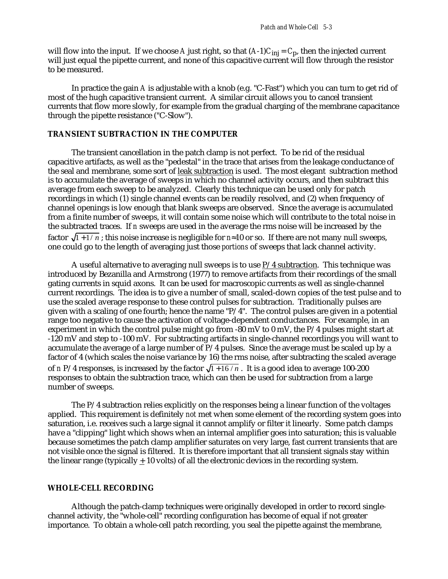will flow into the input. If we choose *A* just right, so that (*A*-1)*C*inj = *C*p, then the injected current will just equal the pipette current, and none of this capacitive current will flow through the resistor to be measured.

In practice the gain *A* is adjustable with a knob (e.g. "C-Fast") which you can turn to get rid of most of the hugh capacitive transient current. A similar circuit allows you to cancel transient currents that flow more slowly, for example from the gradual charging of the membrane capacitance through the pipette resistance ("C-Slow").

# **TRANSIENT SUBTRACTION IN THE COMPUTER**

The transient cancellation in the patch clamp is not perfect. To be rid of the residual capacitive artifacts, as well as the "pedestal" in the trace that arises from the leakage conductance of the seal and membrane, some sort of leak subtraction is used. The most elegant subtraction method is to accumulate the average of sweeps in which no channel activity occurs, and then subtract this average from each sweep to be analyzed. Clearly this technique can be used only for patch recordings in which (1) single channel events can be readily resolved, and (2) when frequency of channel openings is low enough that blank sweeps are observed. Since the average is accumulated from a finite number of sweeps, it will contain some noise which will contribute to the total noise in the subtracted traces. If *n* sweeps are used in the average the rms noise will be increased by the factor  $\sqrt{1 + 1/n}$ ; this noise increase is negligible for *n* 10 or so. If there are not many null sweeps, one could go to the length of averaging just those *portions* of sweeps that lack channel activity.

A useful alternative to averaging null sweeps is to use P/4 subtraction. This technique was introduced by Bezanilla and Armstrong (1977) to remove artifacts from their recordings of the small gating currents in squid axons. It can be used for macroscopic currents as well as single-channel current recordings. The idea is to give a number of small, scaled-down copies of the test pulse and to use the scaled average response to these control pulses for subtraction. Traditionally pulses are given with a scaling of one fourth; hence the name "P/4". The control pulses are given in a potential range too negative to cause the activation of voltage-dependent conductances. For example, in an experiment in which the control pulse might go from -80 mV to 0 mV, the  $P/4$  pulses might start at -120 mV and step to -100 mV. For subtracting artifacts in single-channel recordings you will want to accumulate the average of a large number of P/4 pulses. Since the average must be scaled up by a factor of 4 (which scales the noise variance by 16) the rms noise, after subtracting the scaled average of *n* P/4 responses, is increased by the factor  $\sqrt{1 + 16 / n}$ . It is a good idea to average 100-200 responses to obtain the subtraction trace, which can then be used for subtraction from a large number of sweeps.

The P/4 subtraction relies explicitly on the responses being a linear function of the voltages applied. This requirement is definitely *not* met when some element of the recording system goes into saturation, i.e. receives such a large signal it cannot amplify or filter it linearly. Some patch clamps have a "clipping" light which shows when an internal amplifier goes into saturation; this is valuable because sometimes the patch clamp amplifier saturates on very large, fast current transients that are not visible once the signal is filtered. It is therefore important that all transient signals stay within the linear range (typically  $\pm 10$  volts) of all the electronic devices in the recording system.

#### **WHOLE-CELL RECORDING**

Although the patch-clamp techniques were originally developed in order to record singlechannel activity, the "whole-cell" recording configuration has become of equal if not greater importance. To obtain a whole-cell patch recording, you seal the pipette against the membrane,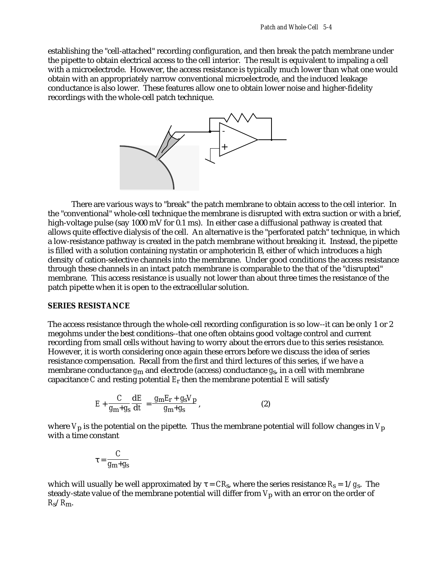establishing the "cell-attached" recording configuration, and then break the patch membrane under the pipette to obtain electrical access to the cell interior. The result is equivalent to impaling a cell with a microelectrode. However, the access resistance is typically much lower than what one would obtain with an appropriately narrow conventional microelectrode, and the induced leakage conductance is also lower. These features allow one to obtain lower noise and higher-fidelity recordings with the whole-cell patch technique.



There are various ways to "break" the patch membrane to obtain access to the cell interior. In the "conventional" whole-cell technique the membrane is disrupted with extra suction or with a brief, high-voltage pulse (say 1000 mV for 0.1 ms). In either case a diffusional pathway is created that allows quite effective dialysis of the cell. An alternative is the "perforated patch" technique, in which a low-resistance pathway is created in the patch membrane without breaking it. Instead, the pipette is filled with a solution containing nystatin or amphotericin B, either of which introduces a high density of cation-selective channels into the membrane. Under good conditions the access resistance through these channels in an intact patch membrane is comparable to the that of the "disrupted" membrane. This access resistance is usually not lower than about three times the resistance of the patch pipette when it is open to the extracellular solution.

## **SERIES RESISTANCE**

The access resistance through the whole-cell recording configuration is so low--it can be only 1 or 2 megohms under the best conditions--that one often obtains good voltage control and current recording from small cells without having to worry about the errors due to this series resistance. However, it is worth considering once again these errors before we discuss the idea of series resistance compensation. Recall from the first and third lectures of this series, if we have a membrane conductance *g*m and electrode (access) conductance *g*s, in a cell with membrane capacitance *C* and resting potential *E*r then the membrane potential *E* will satisfy

$$
E + \frac{C}{g_{\rm m} + g_{\rm s}} \frac{\mathrm{d}E}{\mathrm{d}t} = \frac{g_{\rm m} E_{\rm r} + g_{\rm s} V_{\rm p}}{g_{\rm m} + g_{\rm s}},\tag{2}
$$

where  $V_p$  is the potential on the pipette. Thus the membrane potential will follow changes in  $V_p$ with a time constant

$$
=\frac{C}{g_{\rm m}+g_{\rm s}}
$$

which will usually be well approximated by  $\,$  =  $CR_\text{s}$ , where the series resistance  $R_\text{s}$  = 1/ $g_\text{s}$ . The steady-state value of the membrane potential will differ from *V*p with an error on the order of *R*s/*R*m.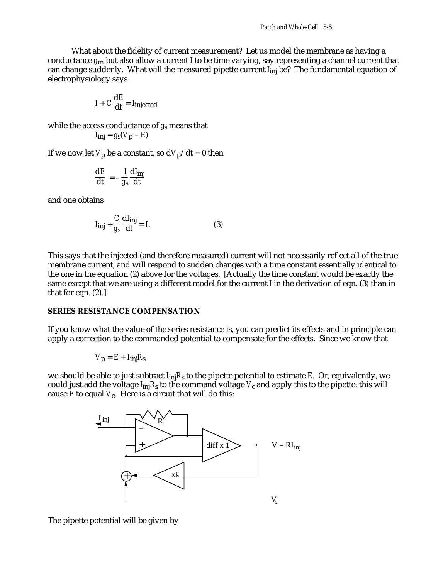What about the fidelity of current measurement? Let us model the membrane as having a conductance *g*m but also allow a current *I* to be time varying, say representing a channel current that can change suddenly. What will the measured pipette current *I*inj be? The fundamental equation of electrophysiology says

$$
I + C\frac{\mathrm{d}E}{\mathrm{d}t} = I_{\text{injected}}
$$

while the access conductance of *g*s means that

$$
I_{\mathbf{inj}} = g_{\mathbf{s}}(V_{\mathbf{p}} - E)
$$

If we now let  $V_p$  be a constant, so  $dV_p/dt = 0$  then

$$
\frac{\mathrm{d}E}{\mathrm{d}t} = -\frac{1}{g_s} \frac{\mathrm{d}I_{\rm inj}}{\mathrm{d}t}
$$

and one obtains

$$
I_{\mathbf{inj}} + \frac{C}{g_s} \frac{\mathbf{d}I_{\mathbf{inj}}}{\mathbf{d}t} = I.
$$
 (3)

This says that the injected (and therefore measured) current will not necessarily reflect all of the true membrane current, and will respond to sudden changes with a time constant essentially identical to the one in the equation (2) above for the voltages. [Actually the time constant would be exactly the same except that we are using a different model for the current *I* in the derivation of eqn. (3) than in that for eqn. (2).]

### **SERIES RESISTANCE COMPENSATION**

If you know what the value of the series resistance is, you can predict its effects and in principle can apply a correction to the commanded potential to compensate for the effects. Since we know that

$$
V_{\mathbf{p}} = E + I_{\mathbf{inj}} R_{\mathbf{s}}
$$

we should be able to just subtract *I*inj*R*s to the pipette potential to estimate *E*. Or, equivalently, we could just add the voltage  $I_{\text{inj}}R_{\text{s}}$  to the command voltage  $V_{\text{c}}$  and apply this to the pipette: this will cause  $E$  to equal  $V_c$ . Here is a circuit that will do this:



The pipette potential will be given by